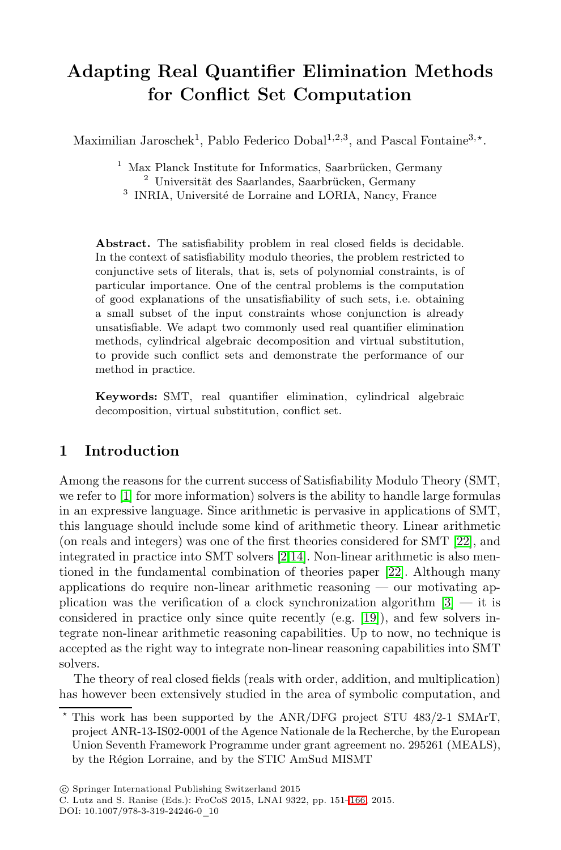# **Adapting Real Quantifier Elimination Methods for Conflict Set Computation**

Maximilian Jaroschek<sup>1</sup>, Pablo Federico Dobal<sup>1,2,3</sup>, and Pascal Fontaine<sup>3,\*</sup>.

 $1$  Max Planck Institute for Informatics, Saarbrücken, Germany  $2$  Universität des Saarlandes, Saarbrücken, Germany

<sup>3</sup> INRIA, Université de Lorraine and LORIA, Nancy, France

**Abstract.** The satisfiability problem in real closed fields is decidable. In the context of satisfiability modulo theories, the problem restricted to conjunctive sets of literals, that is, sets of polynomial constraints, is of particular importance. One of the central problems is the computation of good explanations of the unsatisfiability of such sets, i.e. obtaining a small subset of the input constraints whose conjunction is already unsatisfiable. We adapt two commonly used real quantifier elimination methods, cylindrical algebraic decomposition and virtual substitution, to provide such conflict sets and demonstrate the performance of our method in practice.

**Keywords:** SMT, real quantifier elimination, cylindrical algebraic decomposition, virtual substitution, conflict set.

# **1 Introduction**

Among the reasons for the current success of Satisfi[abi](#page-14-0)lity Modulo Theory (SMT, we refer to [1] for more information) s[olv](#page-15-0)ers is the ability to handle large formulas in an expressive language. Since arithmetic is pervasive in applications of SMT, this language should include some kind of arithmetic theory. Linear arithmetic (on reals and integers) was one of the first theories considered for SMT [22], and integrated in practice into SMT solvers [2,14]. Non-linear arithmetic is also mentioned in the fundamental combination of theories paper [22]. Although many applications do require non-linear arithmetic reasoning — our motivating application was the verification of a clock synchronization algorithm  $[3]$  — it is considered in practice only since quite recently (e.g. [19]), and few solvers integrate non-linear arithmetic reasoning capabilities. Up to now, no technique is accepted as the right way to integrate non-linear reasoning capabilities into SMT solvers.

The theory of real closed fields ([real](#page-14-1)s with order, addition, and multiplication) has however been extensively studied in the area of symbolic computation, and

 $\star$  This work has been supported by the ANR/DFG project STU 483/2-1 SMArT, project ANR-13-IS02-0001 of the Agence Nationale de la Recherche, by the European Union Seventh Framework Programme under grant agreement no. 295261 (MEALS), by the Région Lorraine, and by the STIC AmSud MISMT

<sup>-</sup>c Springer International Publishing Switzerland 2015

C. Lutz and S. Ranise (Eds.): FroCoS 2015, LNAI 9322, pp. 151–166, 2015.

DOI: 10.1007/978-3-319-24246-0\_10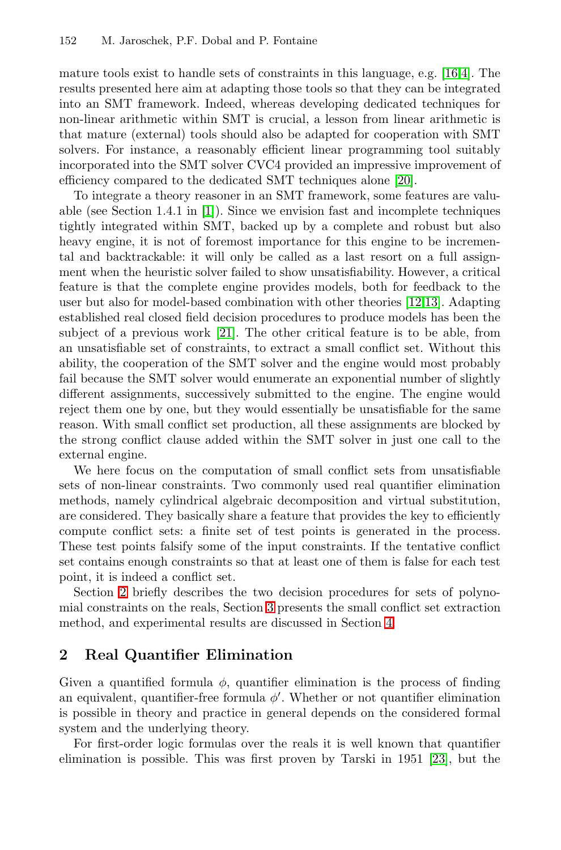mature tools exist to handle sets of constr[aint](#page-15-1)s in this language, e.g. [16,4]. The results [pre](#page-14-2)sented here aim at adapting those tools so that they can be integrated into an SMT framework. Indeed, whereas developing dedicated techniques for non-linear arithmetic within SMT is crucial, a lesson from linear arithmetic is that mature (external) tools should also be adapted for cooperation with SMT solvers. For instance, a reasonably efficient linear programming tool suitably incorporated into the SMT solver CVC4 provided an impressive improvement of efficiency compared to the dedicated SMT t[ech](#page-15-2)[niqu](#page-15-3)es alone [20].

To integrate a theory reasoner in an SMT framework, some features are valuable (see [Sect](#page-15-4)ion 1.4.1 in [1]). Since we envision fast and incomplete techniques tightly integrated within SMT, backed up by a complete and robust but also heavy engine, it is not of foremost importance for this engine to be incremental and backtrackable: it will only be called as a last resort on a full assignment when the heuristic solver failed to show unsatisfiability. However, a critical feature is that the complete engine provides models, both for feedback to the user but also for model-based combination with other theories [12,13]. Adapting established real closed field decision procedures to produce models has been the subject of a previous work [21]. The other critical feature is to be able, from an unsatisfiable set of constraints, to extract a small conflict set. Without this ability, the cooperation of the SMT solver and the engine would most probably fail because the SMT solver would enumerate an exponential number of slightly different assignments, successively submitted to the engine. The engine would reject them one by one, but they would essentially be unsatisfiable for the same reason. With small conflict set production, all these assignments are blocked by the strong conflict clause added within the SMT solver in just one call to the external engine.

We here focus on the computation of small conflict sets from unsatisfiable sets of non-linear [con](#page-7-0)straints. Two commonly used real quantifier elimination methods, namely cylindrical algebraic d[ec](#page-11-0)omposition and virtual substitution, are considered. They basically share a feature that provides the key to efficiently compute conflict sets: a finite set of test points is generated in the process. These test points falsify some of the input constraints. If the tentative conflict set contains enough constraints so that at least one of them is false for each test point, it is indeed a conflict set.

Section 2 briefly describes the two decision procedures for sets of polynomial constraints on the reals, Section 3 presents the small conflict set extraction method, and experimental results are discussed in Section 4.

#### **2 Real Quantifier Elimination**

Given a quantified formula  $\phi$ , quantifier elimination is the process of finding an equivalent, quantifier-free formula  $\phi'$ . Whether or not quantifier elimination is possible in theory and practice in general depends on the considered formal system and the underlying theory.

For first-order logic formulas over the reals it is well known that quantifier elimination is possible. This was first proven by Tarski in 1951 [23], but the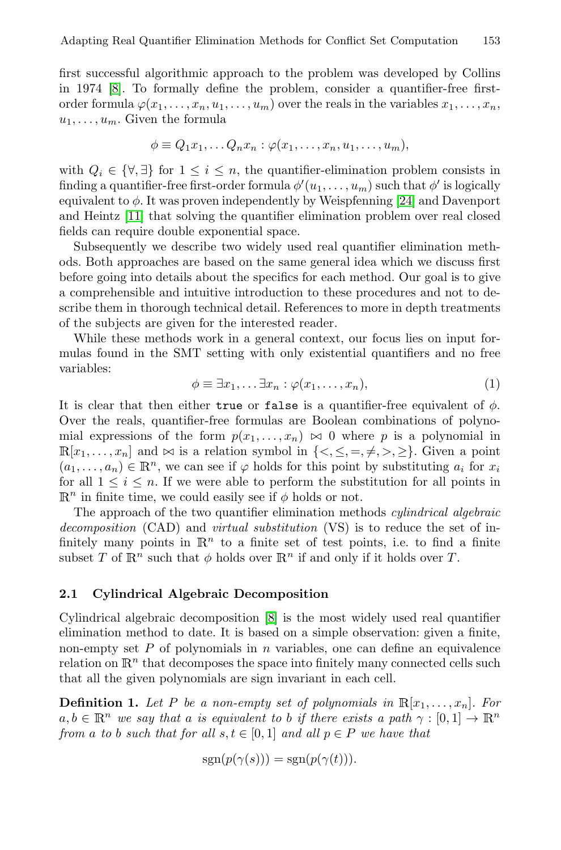first successful algorithmic approach to the problem was developed by Collins in 1974 [8]. To formally define the probl[em](#page-15-5), consider a quantifier-free firstorder formula  $\varphi(x_1,\ldots,x_n,u_1,\ldots,u_m)$  over the reals in the variables  $x_1,\ldots,x_n$ ,  $u_1,\ldots,u_m$ . Given the formula

$$
\phi \equiv Q_1 x_1, \ldots Q_n x_n : \varphi(x_1, \ldots, x_n, u_1, \ldots, u_m),
$$

with  $Q_i \in {\forall, \exists}$  for  $1 \leq i \leq n$ , the quantifier-elimination problem consists in finding a quantifier-free first-order formula  $\phi'(u_1,\ldots,u_m)$  such that  $\phi'$  is logically equivalent to  $\phi$ . It was proven independently by Weispfenning [24] and Davenport and Heintz [11] that solving the quantifier elimination problem over real closed fields can require double exponential space.

Subsequently we describe two widely used real quantifier elimination methods. Both approaches are based on the same general idea which we discuss first before going into details about the specifics for each method. Our goal is to give a comprehensible and intuitive introduction to these procedures and not to describe them in thorough technical detail. References to more in depth treatments of the subjects are given for the interested reader.

While these methods work in a general context, our focus lies on input formulas found in the SMT setting with only existential quantifiers and no free variables:

$$
\phi \equiv \exists x_1, \dots \exists x_n : \varphi(x_1, \dots, x_n), \tag{1}
$$

It is clear that then either true or false is a quantifier-free equivalent of  $\phi$ . Over the reals, quantifier-free formulas are Boolean combinations of polynomial expressions of the form  $p(x_1,...,x_n) \bowtie 0$  where p is a polynomial in  $\mathbb{R}[x_1,\ldots,x_n]$  and  $\bowtie$  is a relation symbol in  $\{\lt,\leq,=\neq,\gt,\geq\}$ . Given a point  $(a_1,\ldots,a_n) \in \mathbb{R}^n$ , we can see if  $\varphi$  holds for this point by substituting  $a_i$  for  $x_i$ for all  $1 \leq i \leq n$ . If we were able to perform the substitution for all points in  $\mathbb{R}^n$  in finite time, [we](#page-14-3) could easily see if  $\phi$  holds or not.

The approach of the two quantifier elimination methods *cylindrical algebraic decomposition* (CAD) and *virtual substitution* (VS) is to reduce the set of infinitely many points in  $\mathbb{R}^n$  to a finite set of test points, i.e. to find a finite subset T of  $\mathbb{R}^n$  such that  $\phi$  holds over  $\mathbb{R}^n$  if and only if it holds over T.

## **2.1 Cylindrical Algebraic Decomposition**

Cylindrical algebraic decomposition [8] is the most widely used real quantifier elimination method to date. It is based on a simple observation: given a finite, non-empty set  $P$  of polynomials in  $n$  variables, one can define an equivalence relation on  $\mathbb{R}^n$  that decomposes the space into finitely many connected cells such that all the given polynomials are sign invariant in each cell.

**Definition 1.** Let P be a non-empty set of polynomials in  $\mathbb{R}[x_1, \ldots, x_n]$ . For  $a, b \in \mathbb{R}^n$  *we say that a is equivalent to b if there exists a path*  $\gamma : [0, 1] \to \mathbb{R}^n$ *from* a *to b such that for all*  $s, t \in [0, 1]$  *and all*  $p \in P$  *we have that* 

$$
sgn(p(\gamma(s))) = sgn(p(\gamma(t))).
$$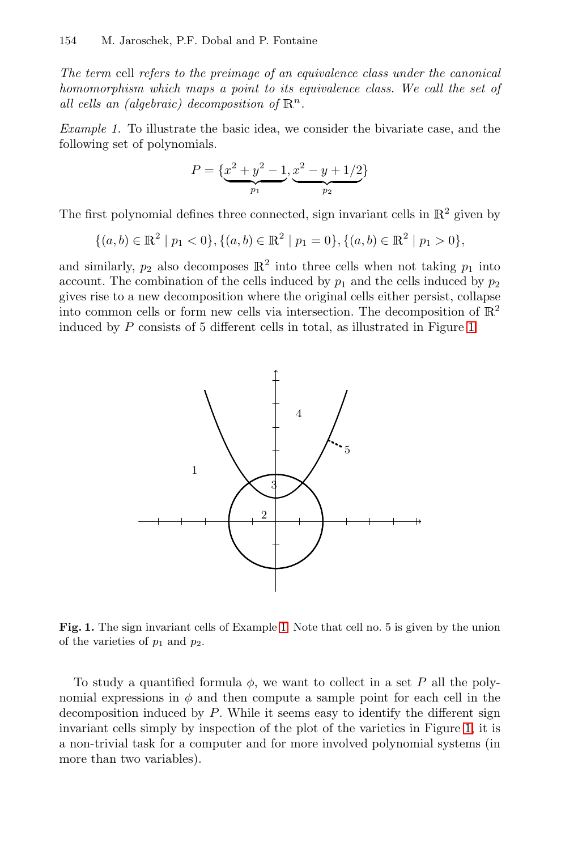<span id="page-3-1"></span>*The term* cell *refers to the preimage of an equivalence class under the canonical homomorphism which maps a point to its equivalence class. We call the set of all cells an (algebraic) decomposition of*  $\mathbb{R}^n$ .

*Example 1.* To illustrate the basic idea, we consider the bivariate case, and the following set of polynomials.

$$
P = \{ \underbrace{x^2 + y^2 - 1}_{p_1}, \underbrace{x^2 - y + 1/2}_{p_2} \}
$$

The first polynomial defines three connected, sign invar[ian](#page-3-0)t cells in  $\mathbb{R}^2$  given by

$$
\{(a,b)\in\mathbb{R}^2\mid p_1<0\}, \{(a,b)\in\mathbb{R}^2\mid p_1=0\}, \{(a,b)\in\mathbb{R}^2\mid p_1>0\},\
$$

and similarly,  $p_2$  also decomposes  $\mathbb{R}^2$  into three cells when not taking  $p_1$  into account. The combination of the cells induced by  $p_1$  and the cells induced by  $p_2$ gives rise to a new decomposition where the original cells either persist, collapse into common cells or form new cells via intersection. The decomposition of  $\mathbb{R}^2$ induced by P consists of 5 different cells in total, as illustrated in Figure 1.

<span id="page-3-0"></span>

**Fig. 1.** The sign invariant cells of Example 1. Note that cell no. 5 is given by the union of the varieties of  $p_1$  and  $p_2$ .

To study a quantified formula  $\phi$ , we want to collect in a set P all the polynomial expressions in  $\phi$  and then compute a sample point for each cell in the decomposition induced by P. While it seems easy to identify the different sign invariant cells simply by inspection of the plot of the varieties in Figure 1, it is a non-trivial task for a computer and for more involved polynomial systems (in more than two variables).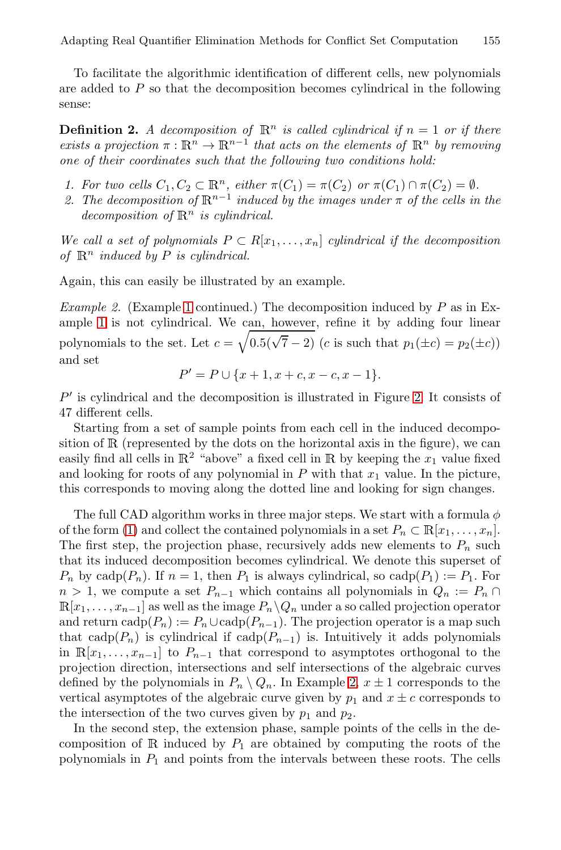<span id="page-4-0"></span>To facilitate the algorithmic identification of different cells, new polynomials are added to  $P$  so that the decomposition becomes cylindrical in the following sense:

**Definition 2.** *A decomposition of*  $\mathbb{R}^n$  *is called cylindrical if*  $n = 1$  *or if there exists a projection*  $\pi : \mathbb{R}^n \to \mathbb{R}^{n-1}$  *that acts on the elements of*  $\mathbb{R}^n$  *by removing one of their coordinates such that the following two conditions hold:*

- *1. [Fo](#page-3-1)r two cells*  $C_1, C_2 \subset \mathbb{R}^n$ , *either*  $\pi(C_1) = \pi(C_2)$  *or*  $\pi(C_1) \cap \pi(C_2) = \emptyset$ *.*
- 2. The decomposition of  $\mathbb{R}^{n-1}$  *induced by the images under*  $\pi$  of the cells in the *decomposition of*  $\mathbb{R}^n$  *is cylindrical.*

*We call a set of polynomials*  $P \subset R[x_1,\ldots,x_n]$  *cylindrical if the decomposition of*  $\mathbb{R}^n$  *induced by P is cylindrical.* 

Again, this can easily be illustrated by an ex[am](#page-5-0)ple.

*Example 2.* (Example 1 continued.) The decomposition induced by P as in Example 1 is not cylindrical. We can, however, refine it by adding four linear polynomials to the set. Let  $c = \sqrt{0.5(\sqrt{7}-2)}$  (c is such that  $p_1(\pm c) = p_2(\pm c)$ ) and set

$$
P' = P \cup \{x+1, x+c, x-c, x-1\}.
$$

 $P'$  is cylindrical and the decomposition is illustrated in Figure 2. It consists of 47 different cells.

Starting from a set of sample points from each cell in the induced decomposition of  $\mathbb R$  (represented by the dots on the horizontal axis in the figure), we can easily find all cells in  $\mathbb{R}^2$  "above" a fixed cell in  $\mathbb R$  by keeping the  $x_1$  value fixed and looking for roots of any polynomial in  $P$  with that  $x_1$  value. In the picture, this corresponds to moving along the dotted line and looking for sign changes.

The full CAD algorithm works in three major steps. We start with a formula  $\phi$ of the form (1) and collect the contained polynomials in a set  $P_n \subset \mathbb{R}[x_1,\ldots,x_n].$ The first step, the projection phase, recursively adds new elements to  $P_n$  such that its induced decomposition b[eco](#page-4-0)mes cylindrical. We denote this superset of  $P_n$  by cadp $(P_n)$ . If  $n = 1$ , then  $P_1$  is always cylindrical, so cadp $(P_1) := P_1$ . For  $n > 1$ , we compute a set  $P_{n-1}$  which contains all polynomials in  $Q_n := P_n \cap$  $\mathbb{R}[x_1,\ldots,x_{n-1}]$  as well as the image  $P_n\backslash Q_n$  under a so called projection operator and return  $\text{cadp}(P_n) := P_n \cup \text{cadp}(P_{n-1})$ . The projection operator is a map such that cadp( $P_n$ ) is cylindrical if cadp( $P_{n-1}$ ) is. Intuitively it adds polynomials in  $\mathbb{R}[x_1,\ldots,x_{n-1}]$  to  $P_{n-1}$  that correspond to asymptotes orthogonal to the projection direction, intersections and self intersections of the algebraic curves defined by the polynomials in  $P_n \setminus Q_n$ . In Example 2,  $x \pm 1$  corresponds to the vertical asymptotes of the algebraic curve given by  $p_1$  and  $x \pm c$  corresponds to the intersection of the two curves given by  $p_1$  and  $p_2$ .

In the second step, the extension phase, sample points of the cells in the decomposition of  $\mathbb R$  induced by  $P_1$  are obtained by computing the roots of the polynomials in  $P_1$  and points from the intervals between these roots. The cells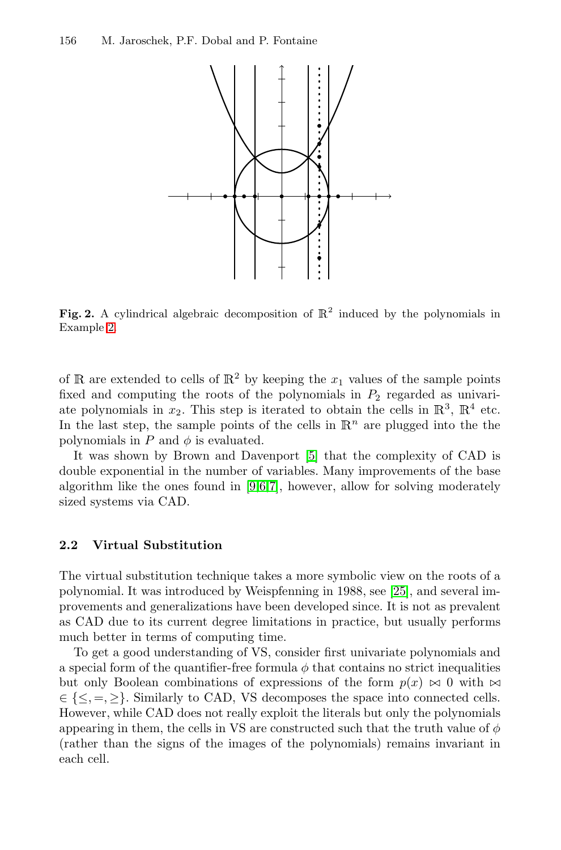<span id="page-5-0"></span>

**Fig. 2.** A cylindrical algebraic decomposition of  $\mathbb{R}^2$  induced by the polynomials in Example 2.

of R are extend[ed](#page-14-4) [t](#page-14-5)[o](#page-14-6) cells of  $\mathbb{R}^2$  by keeping the  $x_1$  values of the sample points fixed and computing the roots of the polynomials in  $P_2$  regarded as univariate polynomials in  $x_2$ . This step is iterated to obtain the cells in  $\mathbb{R}^3$ ,  $\mathbb{R}^4$  etc. In the last step, the sample points of the cells in  $\mathbb{R}^n$  are plugged into the the polynomials in  $P$  and  $\phi$  is evaluated.

It was shown by Brown and Davenport [5] that the complexity of CAD is double exponential in the number of vari[able](#page-15-6)s. Many improvements of the base algorithm like the ones found in  $[9,6,7]$ , however, allow for solving moderately sized systems via CAD.

## **2.2 Virtual Substitution**

The virtual substitution technique takes a more symbolic view on the roots of a polynomial. It was introduced by Weispfenning in 1988, see [25], and several improvements and generalizations have been developed since. It is not as prevalent as CAD due to its current degree limitations in practice, but usually performs much better in terms of computing time.

To get a good understanding of VS, consider first univariate polynomials and a special form of the quantifier-free formula  $\phi$  that contains no strict inequalities but only Boolean combinations of expressions of the form  $p(x) \bowtie 0$  with  $\bowtie$  $\in \{\leq, =, \geq\}$ . Similarly to CAD, VS decomposes the space into connected cells. However, while CAD does not really exploit the literals but only the polynomials appearing in them, the cells in VS are constructed such that the truth value of  $\phi$ (rather than the signs of the images of the polynomials) remains invariant in each cell.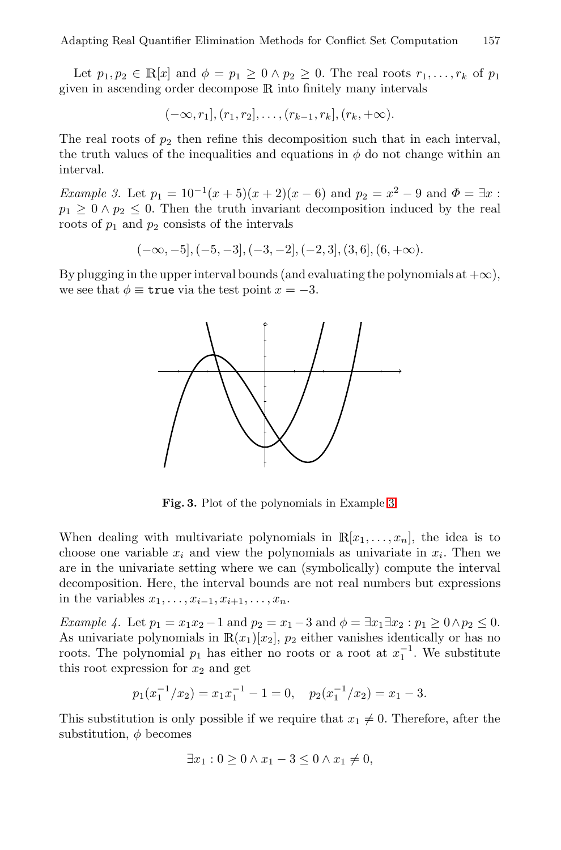Adapting Real Quantifier Elimination Methods for Conflict Set Computation 157

Let  $p_1, p_2 \in \mathbb{R}[x]$  and  $\phi = p_1 \geq 0 \land p_2 \geq 0$ . The real roots  $r_1, \ldots, r_k$  of  $p_1$ given in ascending order decompose  $\mathbb R$  into finitely many intervals

$$
(-\infty, r_1], (r_1, r_2], \ldots, (r_{k-1}, r_k], (r_k, +\infty).
$$

The real roots of  $p_2$  then refine this decomposition such that in each interval, the truth values of the inequalities and equations in  $\phi$  do not change within an interval.

*Example 3.* Let  $p_1 = 10^{-1}(x+5)(x+2)(x-6)$  and  $p_2 = x^2 - 9$  and  $\Phi = \exists x$ :  $p_1 \geq 0 \land p_2 \leq 0$ . Then the truth invariant decomposition induced by the real roots of  $p_1$  and  $p_2$  consists of the intervals

$$
(-\infty, -5], (-5, -3], (-3, -2], (-2, 3], (3, 6], (6, +\infty).
$$

By plugging in the upper interval bounds (and evaluating the polynomials at  $+\infty$ ), we see that  $\phi \equiv$  true via the test point  $x = -3$ .



**Fig. 3.** Plot of the polynomials in Example 3.

When dealing with multivariate polynomials in  $\mathbb{R}[x_1,\ldots,x_n]$ , the idea is to choose one variable  $x_i$  and view the polynomials as univariate in  $x_i$ . Then we are in the univariate setting where we can (symbolically) compute the interval decomposition. Here, the interval bounds are not real numbers but expressions in the variables  $x_1, \ldots, x_{i-1}, x_{i+1}, \ldots, x_n$ .

*Example 4.* Let  $p_1 = x_1x_2 - 1$  and  $p_2 = x_1 - 3$  and  $\phi = \exists x_1 \exists x_2 : p_1 \geq 0 \land p_2 \leq 0$ . As univariate polynomials in  $\mathbb{R}(x_1)[x_2]$ ,  $p_2$  either vanishes identically or has no roots. The polynomial  $p_1$  has either no roots or a root at  $x_1^{-1}$ . We substitute this root expression for  $x_2$  and get

$$
p_1(x_1^{-1}/x_2) = x_1x_1^{-1} - 1 = 0
$$
,  $p_2(x_1^{-1}/x_2) = x_1 - 3$ .

This substitution is only possible if we require that  $x_1 \neq 0$ . Therefore, after the substitution,  $\phi$  becomes

$$
\exists x_1 : 0 \ge 0 \land x_1 - 3 \le 0 \land x_1 \ne 0,
$$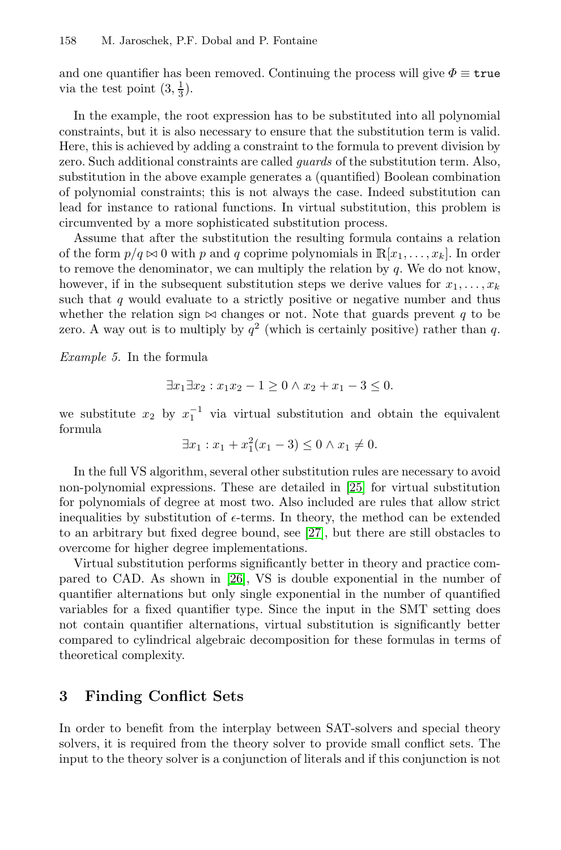and one quantifier has been removed. Continuing the process will give  $\Phi \equiv \text{true}$ via the test point  $(3, \frac{1}{3})$ .

In the example, the root expression has to be substituted into all polynomial constraints, but it is also necessary to ensure that the substitution term is valid. Here, this is achieved by adding a constraint to the formula to prevent division by zero. Such additional constraints are called *guards* of the substitution term. Also, substitution in the above example generates a (quantified) Boolean combination of polynomial constraints; this is not always the case. Indeed substitution can lead for instance to rational functions. In virtual substitution, this problem is circumvented by a more sophisticated substitution process.

Assume that after the substitution the resulting formula contains a relation of the form  $p/q \bowtie 0$  with p and q coprime polynomials in  $\mathbb{R}[x_1,\ldots,x_k]$ . In order to remove the denominator, we can multiply the relation by  $q$ . We do not know, however, if in the subsequent substitution steps we derive values for  $x_1, \ldots, x_k$ such that  $q$  would evaluate to a strictly positive or negative number and thus whether the relation sign  $\bowtie$  changes or not. Note that guards prevent q to be zero. A way out is to multiply by  $q^2$  (which is certainly positive) rather than q.

*Example 5.* In the formula

$$
\exists x_1 \exists x_2 : x_1 x_2 - 1 \ge 0 \land x_2 + x_1 - 3 \le 0.
$$

we substitute  $x_2$  by  $x_1^{-1}$  [via](#page-15-7) virtual substitution and obtain the equivalent formula

$$
\exists x_1 : x_1 + x_1^2(x_1 - 3) \le 0 \land x_1 \ne 0.
$$

<span id="page-7-0"></span>In the full [VS](#page-15-8) algorithm, several other substitution rules are necessary to avoid non-polynomial expressions. These are detailed in [25] for virtual substitution for polynomials of degree at most two. Also included are rules that allow strict inequalities by substitution of  $\epsilon$ -terms. In theory, the method can be extended to an arbitrary but fixed degree bound, see [27], but there are still obstacles to overcome for higher degree implementations.

Virtual substitution performs significantly better in theory and practice compared to CAD. As shown in [26], VS is double exponential in the number of quantifier alternations but only single exponential in the number of quantified variables for a fixed quantifier type. Since the input in the SMT setting does not contain quantifier alternations, virtual substitution is significantly better compared to cylindrical algebraic decomposition for these formulas in terms of theoretical complexity.

## **3 Finding Conflict Sets**

In order to benefit from the interplay between SAT-solvers and special theory solvers, it is required from the theory solver to provide small conflict sets. The input to the theory solver is a conjunction of literals and if this conjunction is not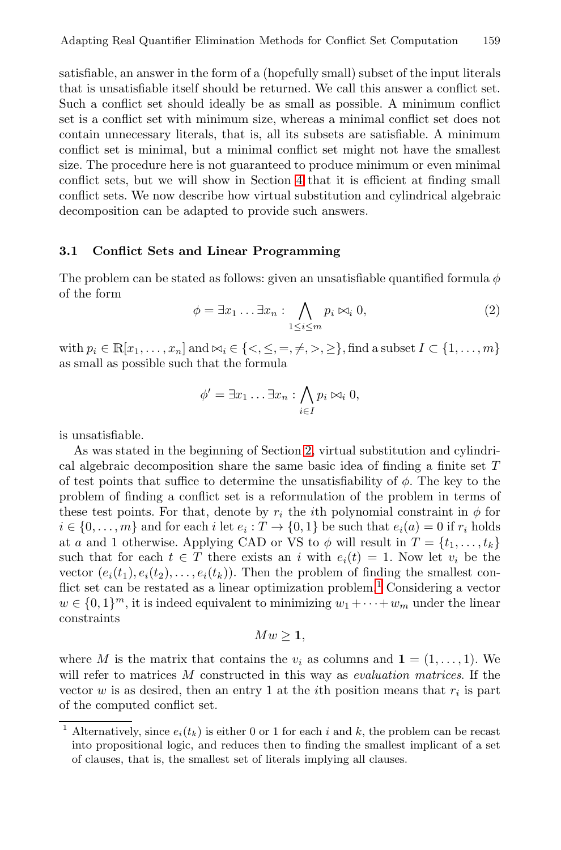<span id="page-8-1"></span>satisfiable, an answer in [the](#page-11-0) form of a (hopefully small) subset of the input literals that is unsatisfiable itself should be returned. We call this answer a conflict set. Such a conflict set should ideally be as small as possible. A minimum conflict set is a conflict set with minimum size, whereas a minimal conflict set does not contain unnecessary literals, that is, all its subsets are satisfiable. A minimum conflict set is minimal, but a minimal conflict set might not have the smallest size. The procedure here is not guaranteed to produce minimum or even minimal conflict sets, but we will show in Section 4 that it is efficient at finding small conflict sets. We now describe how virtual substitution and cylindrical algebraic decomposition can be adapted to provide such answers.

#### **3.1 Conflict Sets and Linear Programming**

The problem can be stated as follows: given an unsatisfiable quantified formula  $\phi$ of the form

$$
\phi = \exists x_1 \dots \exists x_n : \bigwedge_{1 \le i \le m} p_i \bowtie_i 0,
$$
\n
$$
(2)
$$

with  $p_i \in \mathbb{R}[x_1,\ldots,x_n]$  and  $\bowtie_i \in \{<,\leq,=,\neq,>,\geq\}$ , find a subset  $I \subset \{1,\ldots,m\}$ as small as possible such that the formula

$$
\phi' = \exists x_1 \dots \exists x_n : \bigwedge_{i \in I} p_i \bowtie_i 0,
$$

is unsatisfiable.

<span id="page-8-0"></span>As was stated in the beginning of Section 2, virtual substitution and cylindrical algebraic decomposition share the [sa](#page-8-0)me basic idea of finding a finite set T of test points that suffice to determine the unsatisfiability of  $\phi$ . The key to the problem of finding a conflict set is a reformulation of the problem in terms of these test points. For that, denote by  $r_i$  the *i*th polynomial constraint in  $\phi$  for  $i \in \{0, \ldots, m\}$  and for each i let  $e_i : T \to \{0, 1\}$  be such that  $e_i(a) = 0$  if  $r_i$  holds at a and 1 otherwise. Applying CAD or VS to  $\phi$  will result in  $T = \{t_1, \ldots, t_k\}$ such that for each  $t \in T$  there exists an i with  $e_i(t) = 1$ . Now let  $v_i$  be the vector  $(e_i(t_1), e_i(t_2), \ldots, e_i(t_k))$ . Then the problem of finding the smallest conflict set can be restated as a linear optimization problem.<sup>1</sup> Considering a vector  $w \in \{0,1\}^m$ , it is indeed equivalent to minimizing  $w_1 + \cdots + w_m$  under the linear constraints

$$
Mw\geq 1,
$$

where M is the matrix that contains the  $v_i$  as columns and  $\mathbf{1} = (1, \ldots, 1)$ . We will refer to matrices M constructed in this way as *evaluation matrices*. If the vector w is as desired, then an entry 1 at the *i*th position means that  $r_i$  is part of the computed conflict set.

Alternatively, since  $e_i(t_k)$  is either 0 or 1 for each *i* and *k*, the problem can be recast into propositional logic, and reduces then to finding the smallest implicant of a set of clauses, that is, the smallest set of literals implying all clauses.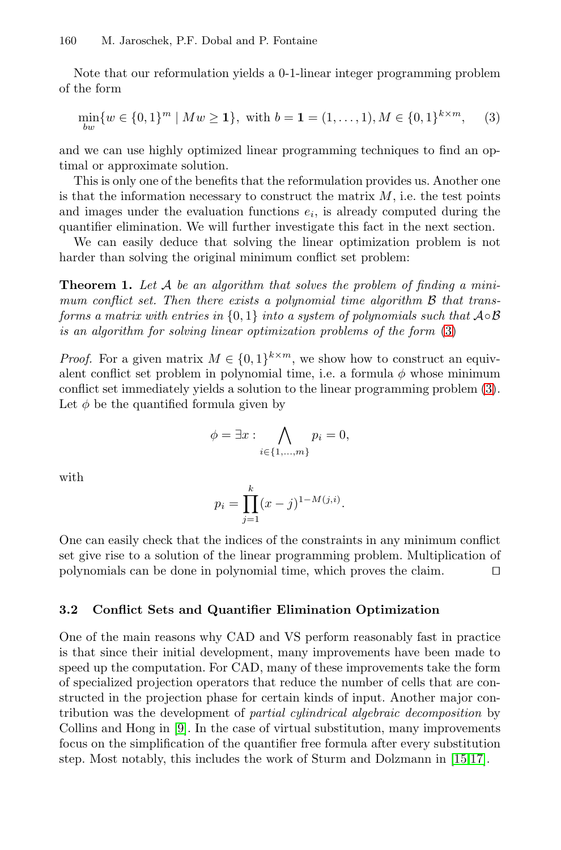<span id="page-9-0"></span>Note that our reformulation yields a 0-1-linear integer programming problem of the form

$$
\min_{bw} \{ w \in \{0, 1\}^m \mid Mw \ge 1 \}, \text{ with } b = 1 = (1, \dots, 1), M \in \{0, 1\}^{k \times m}, \quad (3)
$$

and we can use highly optimized linear programming techniques to find an optimal or approximate solution.

This is only one of the benefits that the reformulation provides us. Another one is that the information necessary to construct the matrix  $M$ , i.e. the test points and images under the evaluation functions  $e_i$ , is a[lre](#page-9-0)ady computed during the quantifier elimination. We will further investigate this fact in the next section.

We can easily deduce that solving the linear optimization problem is not harder than solving the original minimum conflict set problem:

**Theorem 1.** *Let* A *be an algorithm that solves the problem of finding a minimum conflict set. Then there exists a polynomial time algorithm* B *that transforms a matrix with entries in* {0, 1} *into a system of polynomials such that* A◦B *is an algorithm for solving linear optimization problems of the form* (3)

*Proof.* For a given matrix  $M \in \{0,1\}^{k \times m}$ , we show how to construct an equivalent conflict set problem in polynomial time, i.e. a formula  $\phi$  whose minimum conflict set immediately yields a solution to the linear programming problem (3). Let  $\phi$  be the quantified formula given by

$$
\phi = \exists x : \bigwedge_{i \in \{1, ..., m\}} p_i = 0,
$$

with

$$
p_i = \prod_{j=1}^k (x-j)^{1-M(j,i)}.
$$

One can easily check that the indices of the constraints in any minimum conflict set give rise to a solution of the linear programming problem. Multiplication of polynomials can be done in polynomial time, which proves the claim.

#### **3.[2](#page-14-4) Conflict Sets and Quantifier Elimination Optimization**

One of the main reasons why CAD and VS perform [rea](#page-15-9)[son](#page-15-10)ably fast in practice is that since their initial development, many improvements have been made to speed up the computation. For CAD, many of these improvements take the form of specialized projection operators that reduce the number of cells that are constructed in the projection phase for certain kinds of input. Another major contribution was the development of *partial cylindrical algebraic decomposition* by Collins and Hong in [9]. In the case of virtual substitution, many improvements focus on the simplification of the quantifier free formula after every substitution step. Most notably, this includes the work of Sturm and Dolzmann in [15,17].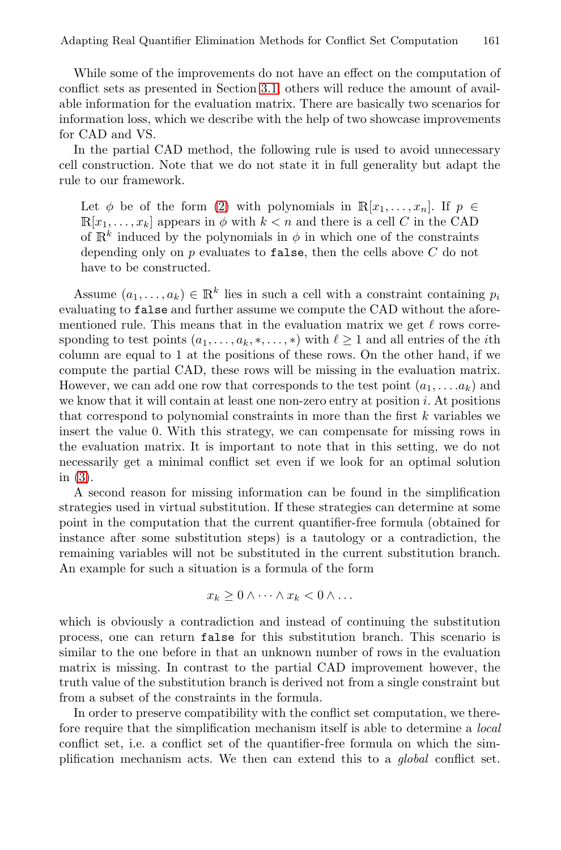While some of the improvements do not have an effect on the computation of conflict se[ts](#page-8-1) as presented in Section 3.1, others will reduce the amount of available information for the evaluation matrix. There are basically two scenarios for information loss, which we describe with the help of two showcase improvements for CAD and VS.

In the partial CAD method, the following rule is used to avoid unnecessary cell construction. Note that we do not state it in full generality but adapt the rule to our framework.

Let  $\phi$  be of the form (2) with polynomials in  $\mathbb{R}[x_1,\ldots,x_n]$ . If  $p \in$  $\mathbb{R}[x_1,\ldots,x_k]$  appears in  $\phi$  with  $k < n$  and there is a cell C in the CAD of  $\mathbb{R}^k$  induced by the polynomials in  $\phi$  in which one of the constraints depending only on  $p$  evaluates to false, then the cells above  $C$  do not have to be constructed.

Assume  $(a_1, \ldots, a_k) \in \mathbb{R}^k$  lies in such a cell with a constraint containing  $p_i$ evaluating to false and further assume we compute the CAD without the aforementioned rule. This means that in the evaluation matrix we get  $\ell$  rows corresponding to test points  $(a_1, \ldots, a_k, \ldots, \ast)$  with  $\ell \geq 1$  and all entries of the *i*th column are equal to 1 at the positions of these rows. On the other hand, if we compute the partial CAD, these rows will be missing in the evaluation matrix. However, we can add one row that corresponds to the test point  $(a_1, \ldots, a_k)$  and we know that it will contain at least one non-zero entry at position  $i$ . At positions that correspond to polynomial constraints in more than the first  $k$  variables we insert the value 0. With this strategy, we can compensate for missing rows in the evaluation matrix. It is important to note that in this setting, we do not necessarily get a minimal conflict set even if we look for an optimal solution in (3).

A second reason for missing information can be found in the simplification strategies used in virtual substitution. If these strategies can determine at some point in the computation that the current quantifier-free formula (obtained for instance after some substitution steps) is a tautology or a contradiction, the remaining variables will not be substituted in the current substitution branch. An example for such a situation is a formula of the form

$$
x_k \geq 0 \wedge \cdots \wedge x_k < 0 \wedge \ldots
$$

which is obviously a contradiction and instead of continuing the substitution process, one can return false for this substitution branch. This scenario is similar to the one before in that an unknown number of rows in the evaluation matrix is missing. In contrast to the partial CAD improvement however, the truth value of the substitution branch is derived not from a single constraint but from a subset of the constraints in the formula.

In order to preserve compatibility with the conflict set computation, we therefore require that the simplification mechanism itself is able to determine a *local* conflict set, i.e. a conflict set of the quantifier-free formula on which the simplification mechanism acts. We then can extend this to a *global* conflict set.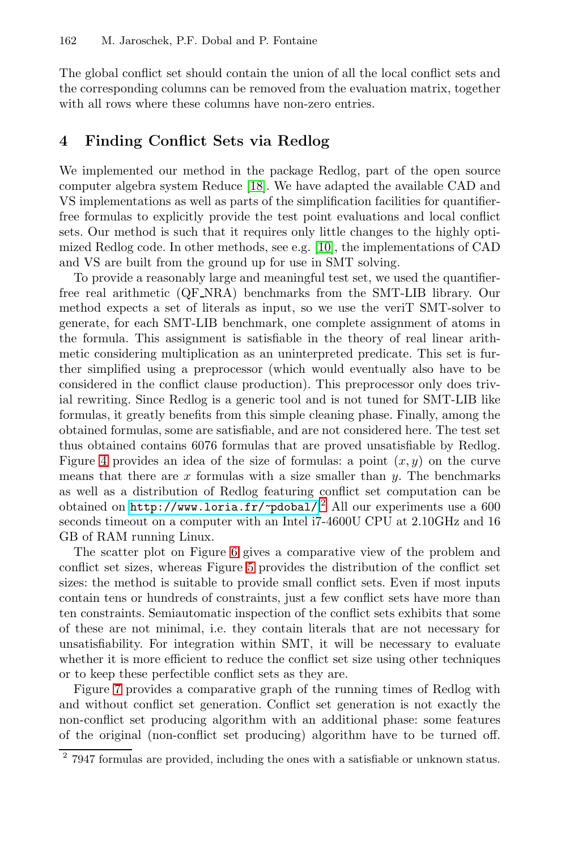<span id="page-11-0"></span>The global confl[ict](#page-15-11) set should contain the union of all the local conflict sets and the corresponding columns can be removed from the evaluation matrix, together with all rows where these columns have non-zero entries.

# **4 Finding Conflict [Set](#page-14-7)s via Redlog**

We implemented our method in the package Redlog, part of the open source computer algebra system Reduce [18]. We have adapted the available CAD and VS implementations as well as parts of the simplification facilities for quantifierfree formulas to explicitly provide the test point evaluations and local conflict sets. Our method is such that it requires only little changes to the highly optimized Redlog code. In other methods, see e.g. [10], the implementations of CAD and VS are built from the ground up for use in SMT solving.

To provide a reasonably large and meaningful test set, we used the quantifierfree real arithmetic (QF NRA) benchmarks from the SMT-LIB library. Our method expects a set of literals as input, so we use the veriT SMT-solver to generate, for each SMT-LIB benchmark, one complete assignment of atoms in the formula. This assignment is satisfiable in the theory of real linear arithmetic considering multiplication as an uninterpreted predicate. This set is further simplified using a preprocessor (which would eventually also have to be [considered in the conflict cla](http://www.loria.fr/~pdobal/)[us](#page-11-1)e production). This preprocessor only does trivial rewriting. Since Redlog is a generic tool and is not tuned for SMT-LIB like formulas, it greatly benefits from this simple cleaning phase. Finally, among the obtained for[mu](#page-12-0)las, some are satisfiable, and are not considered here. The test set thus obtained c[on](#page-12-1)tains 6076 formulas that are proved unsatisfiable by Redlog. Figure 4 provides an idea of the size of formulas: a point  $(x, y)$  on the curve means that there are  $x$  formulas with a size smaller than  $y$ . The benchmarks as well as a distribution of Redlog featuring conflict set computation can be obtained on http://www.loria.fr/~pdobal/.<sup>2</sup> All our experiments use a 600 seconds timeout on a computer with an Intel i7-4600U CPU at 2.10GHz and 16 GB of RAM running Linux.

<span id="page-11-1"></span>The scatter plot on Figure 6 gives a comparative view of the problem and conflict set sizes, whereas Figure 5 provides the distribution of the conflict set sizes: the method is suitable to provide small conflict sets. Even if most inputs contain tens or hundreds of constraints, just a few conflict sets have more than ten constraints. Semiautomatic inspection of the conflict sets exhibits that some of these are not minimal, i.e. they contain literals that are not necessary for unsatisfiability. For integration within SMT, it will be necessary to evaluate whether it is more efficient to reduce the conflict set size using other techniques or to keep these perfectible conflict sets as they are.

Figure 7 provides a comparative graph of the running times of Redlog with and without conflict set generation. Conflict set generation is not exactly the non-conflict set producing algorithm with an additional phase: some features of the original (non-conflict set producing) algorithm have to be turned off.

 $2$  7947 formulas are provided, including the ones with a satisfiable or unknown status.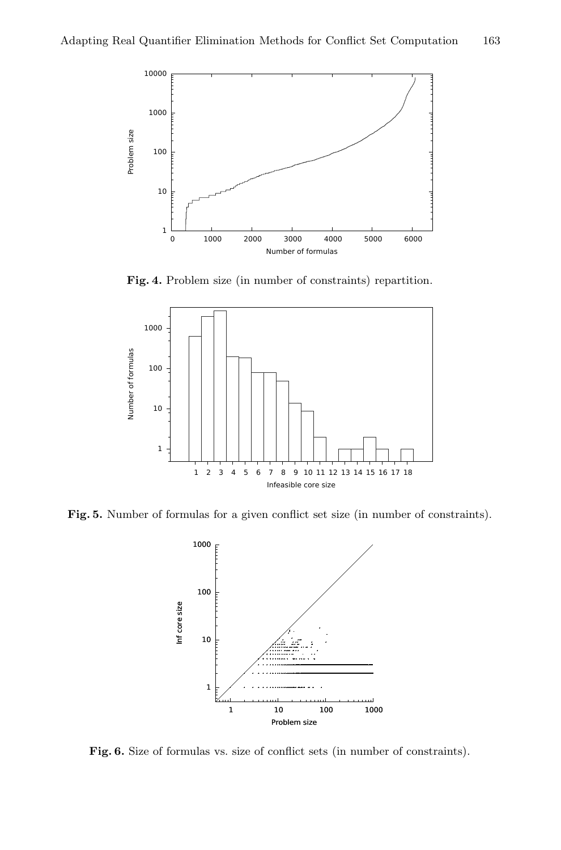

**Fig. 4.** Problem size (in number of constraints) repartition.



**Fig. 5.** Number of formulas for a given conflict set size (in number of constraints).

<span id="page-12-1"></span><span id="page-12-0"></span>

Fig. 6. Size of formulas vs. size of conflict sets (in number of constraints).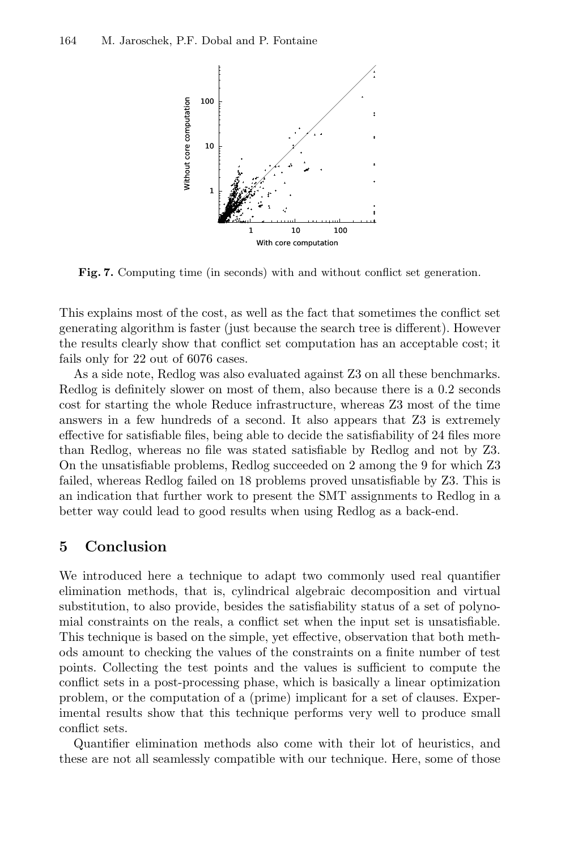

**Fig. 7.** Computing time (in seconds) with and without conflict set generation.

This explains most of the cost, as well as the fact that sometimes the conflict set generating algorithm is faster (just because the search tree is different). However the results clearly show that conflict set computation has an acceptable cost; it fails only for 22 out of 6076 cases.

As a side note, Redlog was also evaluated against Z3 on all these benchmarks. Redlog is definitely slower on most of them, also because there is a 0.2 seconds cost for starting the whole Reduce infrastructure, whereas Z3 most of the time answers in a few hundreds of a second. It also appears that Z3 is extremely effective for satisfiable files, being able to decide the satisfiability of 24 files more than Redlog, whereas no file was stated satisfiable by Redlog and not by Z3. On the unsatisfiable problems, Redlog succeeded on 2 among the 9 for which Z3 failed, whereas Redlog failed on 18 problems proved unsatisfiable by Z3. This is an indication that further work to present the SMT assignments to Redlog in a better way could lead to good results when using Redlog as a back-end.

## **5 Conclusion**

We introduced here a technique to adapt two commonly used real quantifier elimination methods, that is, cylindrical algebraic decomposition and virtual substitution, to also provide, besides the satisfiability status of a set of polynomial constraints on the reals, a conflict set when the input set is unsatisfiable. This technique is based on the simple, yet effective, observation that both methods amount to checking the values of the constraints on a finite number of test points. Collecting the test points and the values is sufficient to compute the conflict sets in a post-processing phase, which is basically a linear optimization problem, or the computation of a (prime) implicant for a set of clauses. Experimental results show that this technique performs very well to produce small conflict sets.

Quantifier elimination methods also come with their lot of heuristics, and these are not all seamlessly compatible with our technique. Here, some of those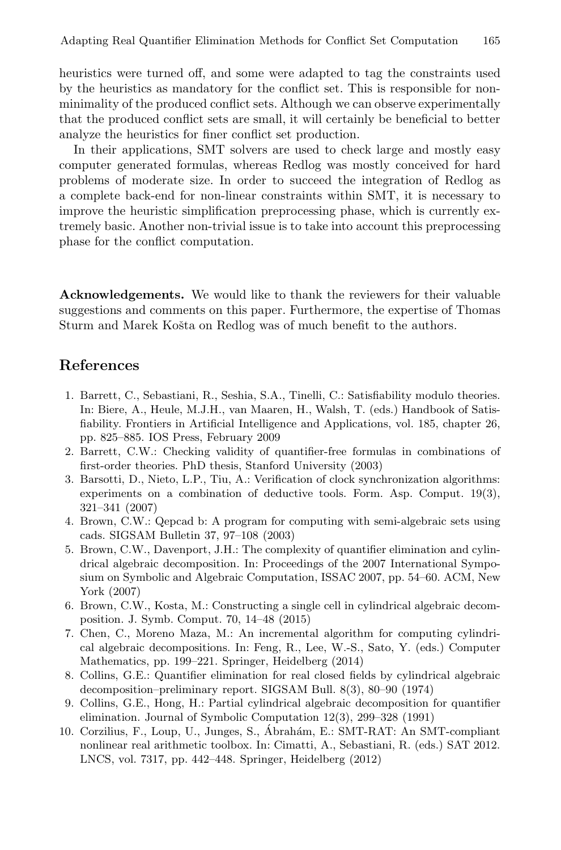heuristics were turned off, and some were adapted to tag the constraints used by the heuristics as mandatory for the conflict set. This is responsible for nonminimality of the produced conflict sets. Although we can observe experimentally that the produced conflict sets are small, it will certainly be beneficial to better analyze the heuristics for finer conflict set production.

In their applications, SMT solvers are used to check large and mostly easy computer generated formulas, whereas Redlog was mostly conceived for hard problems of moderate size. In order to succeed the integration of Redlog as a complete back-end for non-linear constraints within SMT, it is necessary to improve the heuristic simplification preprocessing phase, which is currently extremely basic. Another non-trivial issue is to take into account this preprocessing phase for the conflict computation.

<span id="page-14-2"></span><span id="page-14-1"></span>**Acknowledgements.** We would like to thank the reviewers for their valuable suggestions and comments on this paper. Furthermore, the expertise of Thomas Sturm and Marek Košta on Redlog was of much benefit to the authors.

## **References**

- <span id="page-14-0"></span>1. Barrett, C., Sebastiani, R., Seshia, S.A., Tinelli, C.: Satisfiability modulo theories. In: Biere, A., Heule, M.J.H., van Maaren, H., Walsh, T. (eds.) Handbook of Satisfiability. Frontiers in Artificial Intelligence and Applications, vol. 185, chapter 26, pp. 825–885. IOS Press, February 2009
- 2. Barrett, C.W.: Checking validity of quantifier-free formulas in combinations of first-order theories. PhD thesis, Stanford University (2003)
- <span id="page-14-5"></span>3. Barsotti, D., Nieto, L.P., Tiu, A.: Verification of clock synchronization algorithms: experiments on a combination of deductive tools. Form. Asp. Comput. 19(3), 321–341 (2007)
- <span id="page-14-6"></span>4. Brown, C.W.: Qepcad b: A program for computing with semi-algebraic sets using cads. SIGSAM Bulletin 37, 97–108 (2003)
- <span id="page-14-3"></span>5. Brown, C.W., Davenport, J.H.: The complexity of quantifier elimination and cylindrical algebraic decomposition. In: Proceedings of the 2007 International Symposium on Symbolic and Algebraic Computation, ISSAC 2007, pp. 54–60. ACM, New York (2007)
- <span id="page-14-7"></span><span id="page-14-4"></span>6. Brown, C.W., Kosta, M.: Constructing a single cell in cylindrical algebraic decomposition. J. Symb. Comput. 70, 14–48 (2015)
- 7. Chen, C., Moreno Maza, M.: An incremental algorithm for computing cylindrical algebraic decompositions. In: Feng, R., Lee, W.-S., Sato, Y. (eds.) Computer Mathematics, pp. 199–221. Springer, Heidelberg (2014)
- 8. Collins, G.E.: Quantifier elimination for real closed fields by cylindrical algebraic decomposition–preliminary report. SIGSAM Bull. 8(3), 80–90 (1974)
- 9. Collins, G.E., Hong, H.: Partial cylindrical algebraic decomposition for quantifier elimination. Journal of Symbolic Computation 12(3), 299–328 (1991)
- 10. Corzilius, F., Loup, U., Junges, S., Ábrahám, E.: SMT-RAT: An SMT-compliant nonlinear real arithmetic toolbox. In: Cimatti, A., Sebastiani, R. (eds.) SAT 2012. LNCS, vol. 7317, pp. 442–448. Springer, Heidelberg (2012)